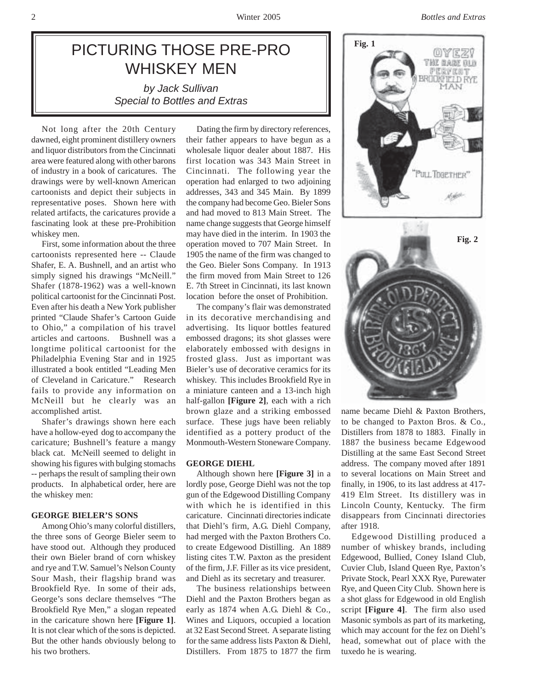# PICTURING THOSE PRE-PRO WHISKEY MEN

*by Jack Sullivan Special to Bottles and Extras*

Not long after the 20th Century dawned, eight prominent distillery owners and liquor distributors from the Cincinnati area were featured along with other barons of industry in a book of caricatures. The drawings were by well-known American cartoonists and depict their subjects in representative poses. Shown here with related artifacts, the caricatures provide a fascinating look at these pre-Prohibition whiskey men.

First, some information about the three cartoonists represented here -- Claude Shafer, E. A. Bushnell, and an artist who simply signed his drawings "McNeill." Shafer (1878-1962) was a well-known political cartoonist for the Cincinnati Post. Even after his death a New York publisher printed "Claude Shafer's Cartoon Guide to Ohio," a compilation of his travel articles and cartoons. Bushnell was a longtime political cartoonist for the Philadelphia Evening Star and in 1925 illustrated a book entitled "Leading Men of Cleveland in Caricature." Research fails to provide any information on McNeill but he clearly was an accomplished artist.

Shafer's drawings shown here each have a hollow-eyed dog to accompany the caricature; Bushnell's feature a mangy black cat. McNeill seemed to delight in showing his figures with bulging stomachs -- perhaps the result of sampling their own products. In alphabetical order, here are the whiskey men:

# **GEORGE BIELER'S SONS**

Among Ohio's many colorful distillers, the three sons of George Bieler seem to have stood out. Although they produced their own Bieler brand of corn whiskey and rye and T.W. Samuel's Nelson County Sour Mash, their flagship brand was Brookfield Rye. In some of their ads, George's sons declare themselves "The Brookfield Rye Men," a slogan repeated in the caricature shown here **[Figure 1]**. It is not clear which of the sons is depicted. But the other hands obviously belong to his two brothers.

Dating the firm by directory references, their father appears to have begun as a wholesale liquor dealer about 1887. His first location was 343 Main Street in Cincinnati. The following year the operation had enlarged to two adjoining addresses, 343 and 345 Main. By 1899 the company had become Geo. Bieler Sons and had moved to 813 Main Street. The name change suggests that George himself may have died in the interim. In 1903 the operation moved to 707 Main Street. In 1905 the name of the firm was changed to the Geo. Bieler Sons Company. In 1913 the firm moved from Main Street to 126 E. 7th Street in Cincinnati, its last known location before the onset of Prohibition.

The company's flair was demonstrated in its decorative merchandising and advertising. Its liquor bottles featured embossed dragons; its shot glasses were elaborately embossed with designs in frosted glass. Just as important was Bieler's use of decorative ceramics for its whiskey. This includes Brookfield Rye in a miniature canteen and a 13-inch high half-gallon **[Figure 2]**, each with a rich brown glaze and a striking embossed surface. These jugs have been reliably identified as a pottery product of the Monmouth-Western Stoneware Company.

#### **GEORGE DIEHL**

Although shown here **[Figure 3]** in a lordly pose, George Diehl was not the top gun of the Edgewood Distilling Company with which he is identified in this caricature. Cincinnati directories indicate that Diehl's firm, A.G. Diehl Company, had merged with the Paxton Brothers Co. to create Edgewood Distilling. An 1889 listing cites T.W. Paxton as the president of the firm, J.F. Filler as its vice president, and Diehl as its secretary and treasurer.

The business relationships between Diehl and the Paxton Brothers began as early as 1874 when A.G. Diehl & Co., Wines and Liquors, occupied a location at 32 East Second Street. A separate listing for the same address lists Paxton & Diehl, Distillers. From 1875 to 1877 the firm





name became Diehl & Paxton Brothers, to be changed to Paxton Bros. & Co., Distillers from 1878 to 1883. Finally in 1887 the business became Edgewood Distilling at the same East Second Street address. The company moved after 1891 to several locations on Main Street and finally, in 1906, to its last address at 417- 419 Elm Street. Its distillery was in Lincoln County, Kentucky. The firm disappears from Cincinnati directories after 1918.

Edgewood Distilling produced a number of whiskey brands, including Edgewood, Bullied, Coney Island Club, Cuvier Club, Island Queen Rye, Paxton's Private Stock, Pearl XXX Rye, Purewater Rye, and Queen City Club. Shown here is a shot glass for Edgewood in old English script **[Figure 4]**. The firm also used Masonic symbols as part of its marketing, which may account for the fez on Diehl's head, somewhat out of place with the tuxedo he is wearing.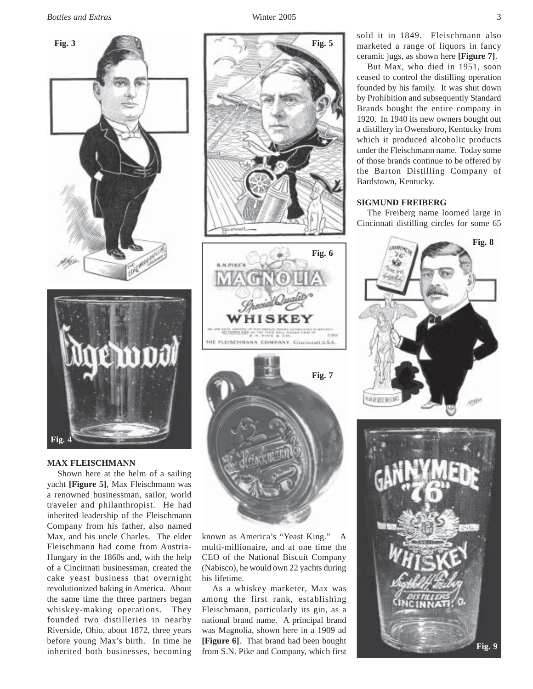

## **MAX FLEISCHMANN**

Shown here at the helm of a sailing yacht **[Figure 5]**, Max Fleischmann was a renowned businessman, sailor, world traveler and philanthropist. He had inherited leadership of the Fleischmann Company from his father, also named Max, and his uncle Charles. The elder Fleischmann had come from Austria-Hungary in the 1860s and, with the help of a Cincinnati businessman, created the cake yeast business that overnight revolutionized baking in America. About the same time the three partners began whiskey-making operations. They founded two distilleries in nearby Riverside, Ohio, about 1872, three years before young Max's birth. In time he inherited both businesses, becoming

**Fig. 6 FLEISCHMANN** COMPANY, Cincinnati U.S.A. **Fig. 7** known as America's "Yeast King." multi-millionaire, and at one time the CEO of the National Biscuit Company (Nabisco), he would own 22 yachts during his lifetime. As a whiskey marketer, Max was

among the first rank, establishing Fleischmann, particularly its gin, as a national brand name. A principal brand was Magnolia, shown here in a 1909 ad **[Figure 6]**. That brand had been bought from S.N. Pike and Company, which first sold it in 1849. Fleischmann also marketed a range of liquors in fancy ceramic jugs, as shown here **[Figure 7]**.

But Max, who died in 1951, soon ceased to control the distilling operation founded by his family. It was shut down by Prohibition and subsequently Standard Brands bought the entire company in 1920. In 1940 its new owners bought out a distillery in Owensboro, Kentucky from which it produced alcoholic products under the Fleischmann name. Today some of those brands continue to be offered by the Barton Distilling Company of Bardstown, Kentucky.

# **SIGMUND FREIBERG**

The Freiberg name loomed large in Cincinnati distilling circles for some 65



**Fig. 5**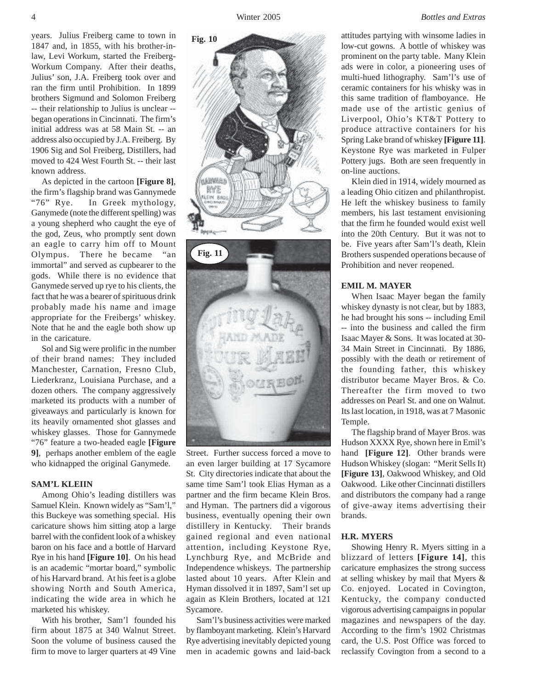**Fig. 10**

years. Julius Freiberg came to town in 1847 and, in 1855, with his brother-inlaw, Levi Workum, started the Freiberg-Workum Company. After their deaths, Julius' son, J.A. Freiberg took over and ran the firm until Prohibition. In 1899 brothers Sigmund and Solomon Freiberg -- their relationship to Julius is unclear - began operations in Cincinnati. The firm's initial address was at 58 Main St. -- an address also occupied by J.A. Freiberg. By 1906 Sig and Sol Freiberg, Distillers, had moved to 424 West Fourth St. -- their last known address.

As depicted in the cartoon **[Figure 8]**, the firm's flagship brand was Gannymede "76" Rye. In Greek mythology, Ganymede (note the different spelling) was a young shepherd who caught the eye of the god, Zeus, who promptly sent down an eagle to carry him off to Mount Olympus. There he became "an immortal" and served as cupbearer to the gods. While there is no evidence that Ganymede served up rye to his clients, the fact that he was a bearer of spirituous drink probably made his name and image appropriate for the Freibergs' whiskey. Note that he and the eagle both show up in the caricature.

Sol and Sig were prolific in the number of their brand names: They included Manchester, Carnation, Fresno Club, Liederkranz, Louisiana Purchase, and a dozen others. The company aggressively marketed its products with a number of giveaways and particularly is known for its heavily ornamented shot glasses and whiskey glasses. Those for Gannymede "76" feature a two-headed eagle **[Figure 9]**, perhaps another emblem of the eagle who kidnapped the original Ganymede.

#### **SAM'L KLEIIN**

Among Ohio's leading distillers was Samuel Klein. Known widely as "Sam'l," this Buckeye was something special. His caricature shows him sitting atop a large barrel with the confident look of a whiskey baron on his face and a bottle of Harvard Rye in his hand **[Figure 10]**. On his head is an academic "mortar board," symbolic of his Harvard brand. At his feet is a globe showing North and South America, indicating the wide area in which he marketed his whiskey.

With his brother, Sam'l founded his firm about 1875 at 340 Walnut Street. Soon the volume of business caused the firm to move to larger quarters at 49 Vine

attitudes partying with winsome ladies in low-cut gowns. A bottle of whiskey was prominent on the party table. Many Klein ads were in color, a pioneering uses of multi-hued lithography. Sam'l's use of ceramic containers for his whisky was in this same tradition of flamboyance. He made use of the artistic genius of Liverpool, Ohio's KT&T Pottery to produce attractive containers for his Spring Lake brand of whiskey **[Figure 11]**. Keystone Rye was marketed in Fulper Pottery jugs. Both are seen frequently in on-line auctions.

Klein died in 1914, widely mourned as a leading Ohio citizen and philanthropist. He left the whiskey business to family members, his last testament envisioning that the firm he founded would exist well into the 20th Century. But it was not to be. Five years after Sam'l's death, Klein Brothers suspended operations because of Prohibition and never reopened.

## **EMIL M. MAYER**

When Isaac Mayer began the family whiskey dynasty is not clear, but by 1883, he had brought his sons -- including Emil -- into the business and called the firm Isaac Mayer & Sons. It was located at 30- 34 Main Street in Cincinnati. By 1886, possibly with the death or retirement of the founding father, this whiskey distributor became Mayer Bros. & Co. Thereafter the firm moved to two addresses on Pearl St. and one on Walnut. Its last location, in 1918, was at 7 Masonic Temple.

The flagship brand of Mayer Bros. was Hudson XXXX Rye, shown here in Emil's hand **[Figure 12]**. Other brands were Hudson Whiskey (slogan: "Merit Sells It) **[Figure 13]**, Oakwood Whiskey, and Old Oakwood. Like other Cincinnati distillers and distributors the company had a range of give-away items advertising their brands.

#### **H.R. MYERS**

Showing Henry R. Myers sitting in a blizzard of letters **[Figure 14]**, this caricature emphasizes the strong success at selling whiskey by mail that Myers & Co. enjoyed. Located in Covington, Kentucky, the company conducted vigorous advertising campaigns in popular magazines and newspapers of the day. According to the firm's 1902 Christmas card, the U.S. Post Office was forced to reclassify Covington from a second to a



Street. Further success forced a move to an even larger building at 17 Sycamore St. City directories indicate that about the same time Sam'l took Elias Hyman as a partner and the firm became Klein Bros. and Hyman. The partners did a vigorous business, eventually opening their own distillery in Kentucky. Their brands gained regional and even national attention, including Keystone Rye, Lynchburg Rye, and McBride and Independence whiskeys. The partnership lasted about 10 years. After Klein and Hyman dissolved it in 1897, Sam'l set up again as Klein Brothers, located at 121 Sycamore.

Sam'l's business activities were marked by flamboyant marketing. Klein's Harvard Rye advertising inevitably depicted young men in academic gowns and laid-back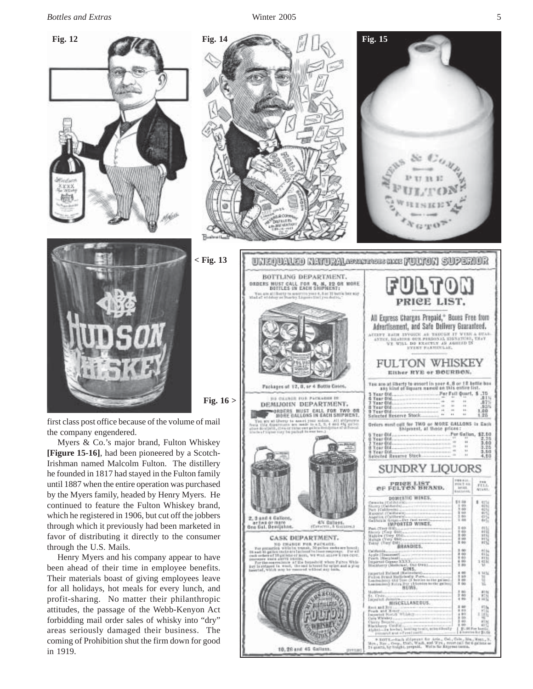## *Bottles and Extras* Winter 2005 5